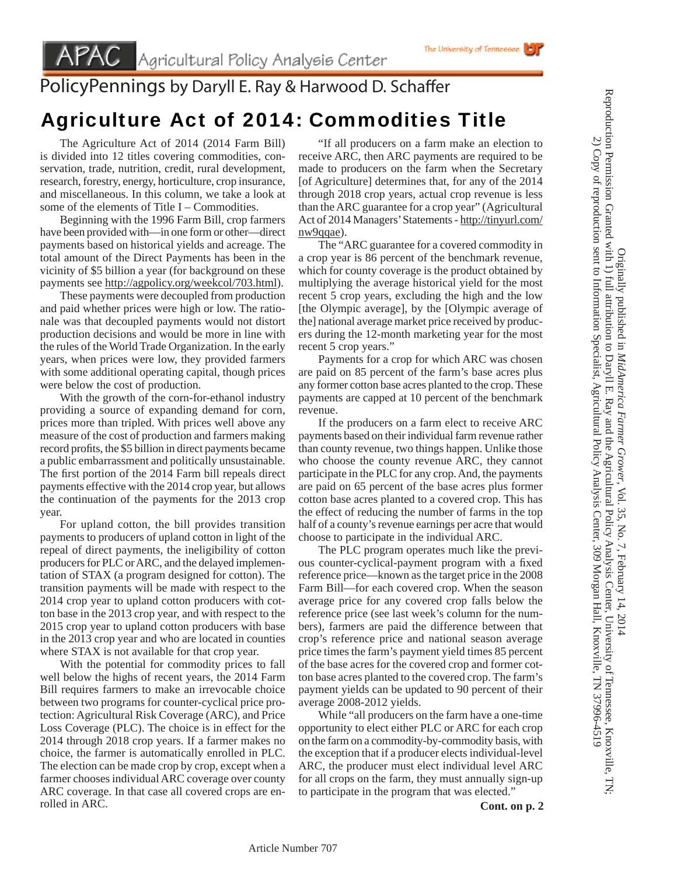## PolicyPennings by Daryll E. Ray & Harwood D. Schaffer

## Agriculture Act of 2014: Commodities Title

 The Agriculture Act of 2014 (2014 Farm Bill) is divided into 12 titles covering commodities, conservation, trade, nutrition, credit, rural development, research, forestry, energy, horticulture, crop insurance, and miscellaneous. In this column, we take a look at some of the elements of Title I – Commodities.

 Beginning with the 1996 Farm Bill, crop farmers have been provided with—in one form or other—direct payments based on historical yields and acreage. The total amount of the Direct Payments has been in the vicinity of \$5 billion a year (for background on these payments see http://agpolicy.org/weekcol/703.html).

 These payments were decoupled from production and paid whether prices were high or low. The rationale was that decoupled payments would not distort production decisions and would be more in line with the rules of the World Trade Organization. In the early years, when prices were low, they provided farmers with some additional operating capital, though prices were below the cost of production.

 With the growth of the corn-for-ethanol industry providing a source of expanding demand for corn, prices more than tripled. With prices well above any measure of the cost of production and farmers making record profits, the \$5 billion in direct payments became a public embarrassment and politically unsustainable. The first portion of the 2014 Farm bill repeals direct payments effective with the 2014 crop year, but allows the continuation of the payments for the 2013 crop year.

 For upland cotton, the bill provides transition payments to producers of upland cotton in light of the repeal of direct payments, the ineligibility of cotton producers for PLC or ARC, and the delayed implementation of STAX (a program designed for cotton). The transition payments will be made with respect to the 2014 crop year to upland cotton producers with cotton base in the 2013 crop year, and with respect to the 2015 crop year to upland cotton producers with base in the 2013 crop year and who are located in counties where STAX is not available for that crop year.

 With the potential for commodity prices to fall well below the highs of recent years, the 2014 Farm Bill requires farmers to make an irrevocable choice between two programs for counter-cyclical price protection: Agricultural Risk Coverage (ARC), and Price Loss Coverage (PLC). The choice is in effect for the 2014 through 2018 crop years. If a farmer makes no choice, the farmer is automatically enrolled in PLC. The election can be made crop by crop, except when a farmer chooses individual ARC coverage over county ARC coverage. In that case all covered crops are enrolled in ARC.

 "If all producers on a farm make an election to receive ARC, then ARC payments are required to be made to producers on the farm when the Secretary [of Agriculture] determines that, for any of the 2014 through 2018 crop years, actual crop revenue is less than the ARC guarantee for a crop year" (Agricultural Act of 2014 Managers' Statements - http://tinyurl.com/ nw9qqae).

 The "ARC guarantee for a covered commodity in a crop year is 86 percent of the benchmark revenue, which for county coverage is the product obtained by multiplying the average historical yield for the most recent 5 crop years, excluding the high and the low [the Olympic average], by the [Olympic average of the] national average market price received by producers during the 12-month marketing year for the most recent 5 crop years."

 Payments for a crop for which ARC was chosen are paid on 85 percent of the farm's base acres plus any former cotton base acres planted to the crop. These payments are capped at 10 percent of the benchmark revenue.

 If the producers on a farm elect to receive ARC payments based on their individual farm revenue rather than county revenue, two things happen. Unlike those who choose the county revenue ARC, they cannot participate in the PLC for any crop. And, the payments are paid on 65 percent of the base acres plus former cotton base acres planted to a covered crop. This has the effect of reducing the number of farms in the top half of a county's revenue earnings per acre that would choose to participate in the individual ARC.

 The PLC program operates much like the previous counter-cyclical-payment program with a fixed reference price—known as the target price in the 2008 Farm Bill—for each covered crop. When the season average price for any covered crop falls below the reference price (see last week's column for the numbers), farmers are paid the difference between that crop's reference price and national season average price times the farm's payment yield times 85 percent of the base acres for the covered crop and former cotton base acres planted to the covered crop. The farm's payment yields can be updated to 90 percent of their average 2008-2012 yields.

 While "all producers on the farm have a one-time opportunity to elect either PLC or ARC for each crop on the farm on a commodity-by-commodity basis, with the exception that if a producer elects individual-level ARC, the producer must elect individual level ARC for all crops on the farm, they must annually sign-up to participate in the program that was elected."

Originally published in *MidAmerica Farmer Grower*

Reproduction Permission Granted with 1) full attribution to Daryll E. Ray and the Agricultural Policy Analysis Center, University of Tennessee, Knoxville, TN; 2) Copy of reproduction sent to Information Specialist, Agricultural Policy Analysis Center, 309 Morgan Hall, Knoxville, TN 37996-4519

Originally published in MidAmerica Farmer Grower, Vol. 35, No. 7, February 14, 2014

Reproduction Permission Granted with 1) full attribution to Daryll E. Ray and the Agricultural Policy Analysis Center, University of Tennessee, Knoxville, TN 2) Copy of reproduction sent to Information Specialist, Agricultural Policy Analysis Center, 309 Morgan Hall, Knoxville, TN 37996-4519

, Vol. 35, No. 7, February 14, 2014